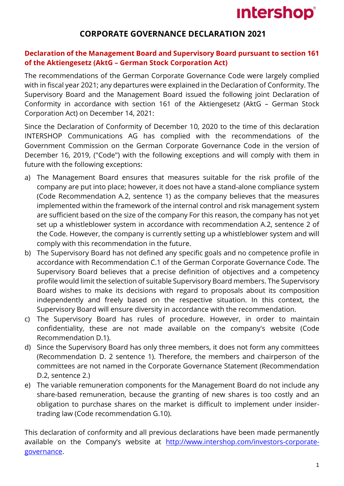# **Intershop®**

# **CORPORATE GOVERNANCE DECLARATION 2021**

## **Declaration of the Management Board and Supervisory Board pursuant to section 161 of the Aktiengesetz (AktG – German Stock Corporation Act)**

The recommendations of the German Corporate Governance Code were largely complied with in fiscal year 2021; any departures were explained in the Declaration of Conformity. The Supervisory Board and the Management Board issued the following joint Declaration of Conformity in accordance with section 161 of the Aktiengesetz (AktG – German Stock Corporation Act) on December 14, 2021:

Since the Declaration of Conformity of December 10, 2020 to the time of this declaration INTERSHOP Communications AG has complied with the recommendations of the Government Commission on the German Corporate Governance Code in the version of December 16, 2019, ("Code") with the following exceptions and will comply with them in future with the following exceptions:

- a) The Management Board ensures that measures suitable for the risk profile of the company are put into place; however, it does not have a stand-alone compliance system (Code Recommendation A.2, sentence 1) as the company believes that the measures implemented within the framework of the internal control and risk management system are sufficient based on the size of the company For this reason, the company has not yet set up a whistleblower system in accordance with recommendation A.2, sentence 2 of the Code. However, the company is currently setting up a whistleblower system and will comply with this recommendation in the future.
- b) The Supervisory Board has not defined any specific goals and no competence profile in accordance with Recommendation C.1 of the German Corporate Governance Code. The Supervisory Board believes that a precise definition of objectives and a competency profile would limit the selection of suitable Supervisory Board members. The Supervisory Board wishes to make its decisions with regard to proposals about its composition independently and freely based on the respective situation. In this context, the Supervisory Board will ensure diversity in accordance with the recommendation.
- c) The Supervisory Board has rules of procedure. However, in order to maintain confidentiality, these are not made available on the company's website (Code Recommendation D.1).
- d) Since the Supervisory Board has only three members, it does not form any committees (Recommendation D. 2 sentence 1). Therefore, the members and chairperson of the committees are not named in the Corporate Governance Statement (Recommendation D.2, sentence 2.)
- e) The variable remuneration components for the Management Board do not include any share-based remuneration, because the granting of new shares is too costly and an obligation to purchase shares on the market is difficult to implement under insidertrading law (Code recommendation G.10).

This declaration of conformity and all previous declarations have been made permanently available on the Company's website at [http://www.intershop.com/investors-corporate](http://www.intershop.com/investors-corporate-governance)[governance.](http://www.intershop.com/investors-corporate-governance)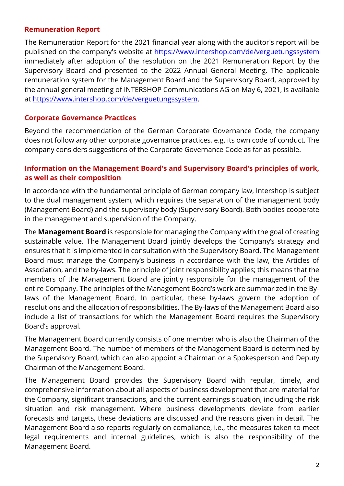#### **Remuneration Report**

The Remuneration Report for the 2021 financial year along with the auditor's report will be published on the company's website at<https://www.intershop.com/de/verguetungssystem> immediately after adoption of the resolution on the 2021 Remuneration Report by the Supervisory Board and presented to the 2022 Annual General Meeting. The applicable remuneration system for the Management Board and the Supervisory Board, approved by the annual general meeting of INTERSHOP Communications AG on May 6, 2021, is available at [https://www.intershop.com/de/verguetungssystem.](https://www.intershop.com/de/verguetungssystem)

#### **Corporate Governance Practices**

Beyond the recommendation of the German Corporate Governance Code, the company does not follow any other corporate governance practices, e.g. its own code of conduct. The company considers suggestions of the Corporate Governance Code as far as possible.

## **Information on the Management Board's and Supervisory Board's principles of work, as well as their composition**

In accordance with the fundamental principle of German company law, Intershop is subject to the dual management system, which requires the separation of the management body (Management Board) and the supervisory body (Supervisory Board). Both bodies cooperate in the management and supervision of the Company.

The **Management Board** is responsible for managing the Company with the goal of creating sustainable value. The Management Board jointly develops the Company's strategy and ensures that it is implemented in consultation with the Supervisory Board. The Management Board must manage the Company's business in accordance with the law, the Articles of Association, and the by-laws. The principle of joint responsibility applies; this means that the members of the Management Board are jointly responsible for the management of the entire Company. The principles of the Management Board's work are summarized in the Bylaws of the Management Board. In particular, these by-laws govern the adoption of resolutions and the allocation of responsibilities. The By-laws of the Management Board also include a list of transactions for which the Management Board requires the Supervisory Board's approval.

The Management Board currently consists of one member who is also the Chairman of the Management Board. The number of members of the Management Board is determined by the Supervisory Board, which can also appoint a Chairman or a Spokesperson and Deputy Chairman of the Management Board.

The Management Board provides the Supervisory Board with regular, timely, and comprehensive information about all aspects of business development that are material for the Company, significant transactions, and the current earnings situation, including the risk situation and risk management. Where business developments deviate from earlier forecasts and targets, these deviations are discussed and the reasons given in detail. The Management Board also reports regularly on compliance, i.e., the measures taken to meet legal requirements and internal guidelines, which is also the responsibility of the Management Board.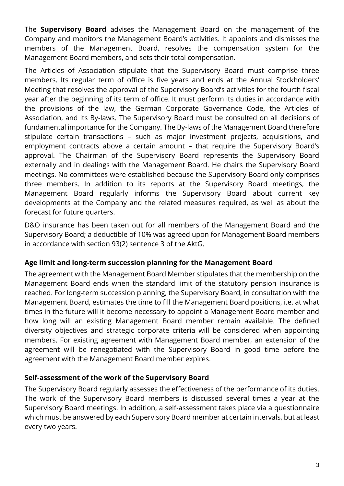The **Supervisory Board** advises the Management Board on the management of the Company and monitors the Management Board's activities. It appoints and dismisses the members of the Management Board, resolves the compensation system for the Management Board members, and sets their total compensation.

The Articles of Association stipulate that the Supervisory Board must comprise three members. Its regular term of office is five years and ends at the Annual Stockholders' Meeting that resolves the approval of the Supervisory Board's activities for the fourth fiscal year after the beginning of its term of office. It must perform its duties in accordance with the provisions of the law, the German Corporate Governance Code, the Articles of Association, and its By-laws. The Supervisory Board must be consulted on all decisions of fundamental importance for the Company. The By-laws of the Management Board therefore stipulate certain transactions – such as major investment projects, acquisitions, and employment contracts above a certain amount – that require the Supervisory Board's approval. The Chairman of the Supervisory Board represents the Supervisory Board externally and in dealings with the Management Board. He chairs the Supervisory Board meetings. No committees were established because the Supervisory Board only comprises three members. In addition to its reports at the Supervisory Board meetings, the Management Board regularly informs the Supervisory Board about current key developments at the Company and the related measures required, as well as about the forecast for future quarters.

D&O insurance has been taken out for all members of the Management Board and the Supervisory Board; a deductible of 10% was agreed upon for Management Board members in accordance with section 93(2) sentence 3 of the AktG.

## **Age limit and long-term succession planning for the Management Board**

The agreement with the Management Board Member stipulates that the membership on the Management Board ends when the standard limit of the statutory pension insurance is reached. For long-term succession planning, the Supervisory Board, in consultation with the Management Board, estimates the time to fill the Management Board positions, i.e. at what times in the future will it become necessary to appoint a Management Board member and how long will an existing Management Board member remain available. The defined diversity objectives and strategic corporate criteria will be considered when appointing members. For existing agreement with Management Board member, an extension of the agreement will be renegotiated with the Supervisory Board in good time before the agreement with the Management Board member expires.

## **Self-assessment of the work of the Supervisory Board**

The Supervisory Board regularly assesses the effectiveness of the performance of its duties. The work of the Supervisory Board members is discussed several times a year at the Supervisory Board meetings. In addition, a self-assessment takes place via a questionnaire which must be answered by each Supervisory Board member at certain intervals, but at least every two years.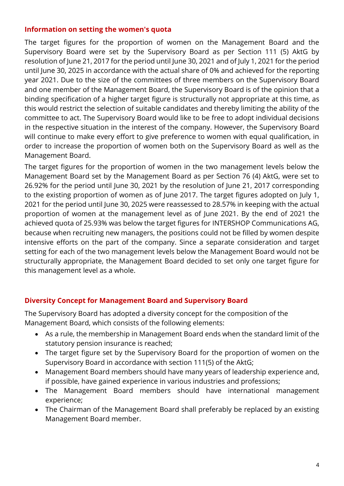#### **Information on setting the women's quota**

The target figures for the proportion of women on the Management Board and the Supervisory Board were set by the Supervisory Board as per Section 111 (5) AktG by resolution of June 21, 2017 for the period until June 30, 2021 and of July 1, 2021 for the period until June 30, 2025 in accordance with the actual share of 0% and achieved for the reporting year 2021. Due to the size of the committees of three members on the Supervisory Board and one member of the Management Board, the Supervisory Board is of the opinion that a binding specification of a higher target figure is structurally not appropriate at this time, as this would restrict the selection of suitable candidates and thereby limiting the ability of the committee to act. The Supervisory Board would like to be free to adopt individual decisions in the respective situation in the interest of the company. However, the Supervisory Board will continue to make every effort to give preference to women with equal qualification, in order to increase the proportion of women both on the Supervisory Board as well as the Management Board.

The target figures for the proportion of women in the two management levels below the Management Board set by the Management Board as per Section 76 (4) AktG, were set to 26.92% for the period until June 30, 2021 by the resolution of June 21, 2017 corresponding to the existing proportion of women as of June 2017. The target figures adopted on July 1, 2021 for the period until June 30, 2025 were reassessed to 28.57% in keeping with the actual proportion of women at the management level as of June 2021. By the end of 2021 the achieved quota of 25.93% was below the target figures for INTERSHOP Communications AG, because when recruiting new managers, the positions could not be filled by women despite intensive efforts on the part of the company. Since a separate consideration and target setting for each of the two management levels below the Management Board would not be structurally appropriate, the Management Board decided to set only one target figure for this management level as a whole.

## **Diversity Concept for Management Board and Supervisory Board**

The Supervisory Board has adopted a diversity concept for the composition of the Management Board, which consists of the following elements:

- As a rule, the membership in Management Board ends when the standard limit of the statutory pension insurance is reached;
- The target figure set by the Supervisory Board for the proportion of women on the Supervisory Board in accordance with section 111(5) of the AktG;
- Management Board members should have many years of leadership experience and, if possible, have gained experience in various industries and professions;
- The Management Board members should have international management experience;
- The Chairman of the Management Board shall preferably be replaced by an existing Management Board member.